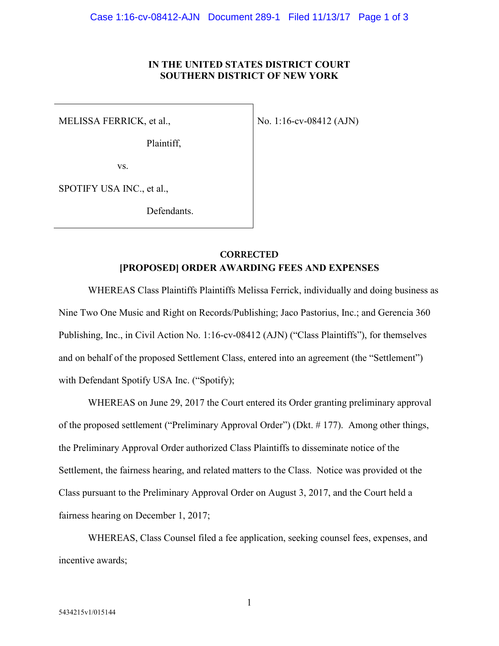### **IN THE UNITED STATES DISTRICT COURT SOUTHERN DISTRICT OF NEW YORK**

MELISSA FERRICK, et al.,

Plaintiff,

No. 1:16-cv-08412 (AJN)

vs.

SPOTIFY USA INC., et al.,

Defendants.

## **[PROPOSED] ORDER AWARDING FEES AND EXPENSES CORRECTED**

WHEREAS Class Plaintiffs Plaintiffs Melissa Ferrick, individually and doing business as Nine Two One Music and Right on Records/Publishing; Jaco Pastorius, Inc.; and Gerencia 360 Publishing, Inc., in Civil Action No. 1:16-cv-08412 (AJN) ("Class Plaintiffs"), for themselves and on behalf of the proposed Settlement Class, entered into an agreement (the "Settlement") with Defendant Spotify USA Inc. ("Spotify);

WHEREAS on June 29, 2017 the Court entered its Order granting preliminary approval of the proposed settlement ("Preliminary Approval Order") (Dkt. # 177). Among other things, the Preliminary Approval Order authorized Class Plaintiffs to disseminate notice of the Settlement, the fairness hearing, and related matters to the Class. Notice was provided ot the Class pursuant to the Preliminary Approval Order on August 3, 2017, and the Court held a fairness hearing on December 1, 2017;

WHEREAS, Class Counsel filed a fee application, seeking counsel fees, expenses, and incentive awards;

1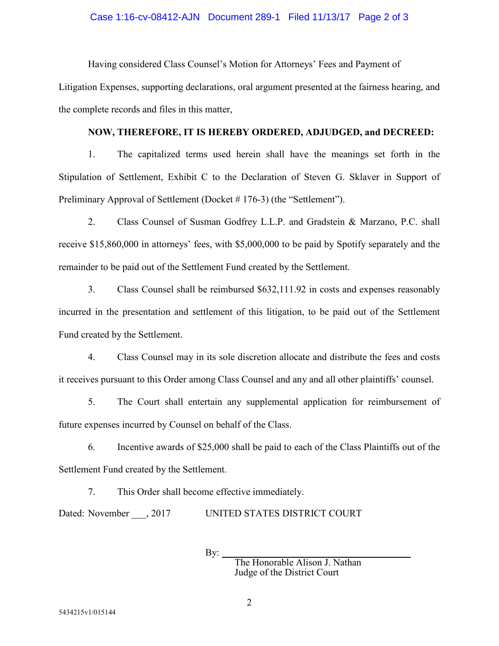#### Case 1:16-cv-08412-AJN Document 289-1 Filed 11/13/17 Page 2 of 3

Having considered Class Counsel's Motion for Attorneys' Fees and Payment of

Litigation Expenses, supporting declarations, oral argument presented at the fairness hearing, and the complete records and files in this matter,

#### **NOW, THEREFORE, IT IS HEREBY ORDERED, ADJUDGED, and DECREED:**

1. The capitalized terms used herein shall have the meanings set forth in the Stipulation of Settlement, Exhibit C to the Declaration of Steven G. Sklaver in Support of Preliminary Approval of Settlement (Docket # 176-3) (the "Settlement").

2. Class Counsel of Susman Godfrey L.L.P. and Gradstein & Marzano, P.C. shall receive \$15,860,000 in attorneys' fees, with \$5,000,000 to be paid by Spotify separately and the remainder to be paid out of the Settlement Fund created by the Settlement.

3. Class Counsel shall be reimbursed \$632,111.92 in costs and expenses reasonably incurred in the presentation and settlement of this litigation, to be paid out of the Settlement Fund created by the Settlement.

4. Class Counsel may in its sole discretion allocate and distribute the fees and costs it receives pursuant to this Order among Class Counsel and any and all other plaintiffs' counsel.

5. The Court shall entertain any supplemental application for reimbursement of future expenses incurred by Counsel on behalf of the Class.

6. Incentive awards of \$25,000 shall be paid to each of the Class Plaintiffs out of the Settlement Fund created by the Settlement.

7. This Order shall become effective immediately.

Dated: November \_\_\_, 2017 UNITED STATES DISTRICT COURT

By:  $_$ 

The Honorable Alison J. Nathan Judge of the District Court